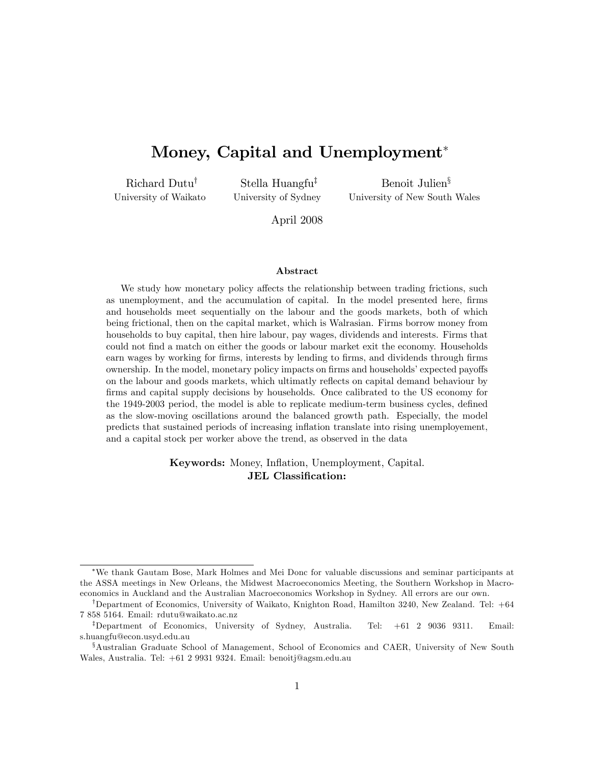# Money, Capital and Unemployment<sup>\*</sup>

Richard Dutu<sup>†</sup> University of Waikato

Stella Huangfu<sup>‡</sup> University of Sydney

Benoit Julien<sup>§</sup> University of New South Wales

April 2008

#### Abstract

We study how monetary policy affects the relationship between trading frictions, such as unemployment, and the accumulation of capital. In the model presented here, firms and households meet sequentially on the labour and the goods markets, both of which being frictional, then on the capital market, which is Walrasian. Firms borrow money from households to buy capital, then hire labour, pay wages, dividends and interests. Firms that could not Önd a match on either the goods or labour market exit the economy. Households earn wages by working for firms, interests by lending to firms, and dividends through firms ownership. In the model, monetary policy impacts on firms and households' expected payoffs on the labour and goods markets, which ultimatly reflects on capital demand behaviour by firms and capital supply decisions by households. Once calibrated to the US economy for the 1949-2003 period, the model is able to replicate medium-term business cycles, defined as the slow-moving oscillations around the balanced growth path. Especially, the model predicts that sustained periods of increasing ináation translate into rising unemployement, and a capital stock per worker above the trend, as observed in the data

### Keywords: Money, Inflation, Unemployment, Capital. JEL Classification:

We thank Gautam Bose, Mark Holmes and Mei Donc for valuable discussions and seminar participants at the ASSA meetings in New Orleans, the Midwest Macroeconomics Meeting, the Southern Workshop in Macroeconomics in Auckland and the Australian Macroeconomics Workshop in Sydney. All errors are our own.

<sup>&</sup>lt;sup>†</sup>Department of Economics, University of Waikato, Knighton Road, Hamilton 3240, New Zealand. Tel: +64 7 858 5164. Email: rdutu@waikato.ac.nz

<sup>&</sup>lt;sup>‡</sup>Department of Economics, University of Sydney, Australia. Tel: +61 2 9036 9311. Email: s.huangfu@econ.usyd.edu.au

 ${}^{\$}$ Australian Graduate School of Management, School of Economics and CAER, University of New South Wales, Australia. Tel: +61 2 9931 9324. Email: benoitj@agsm.edu.au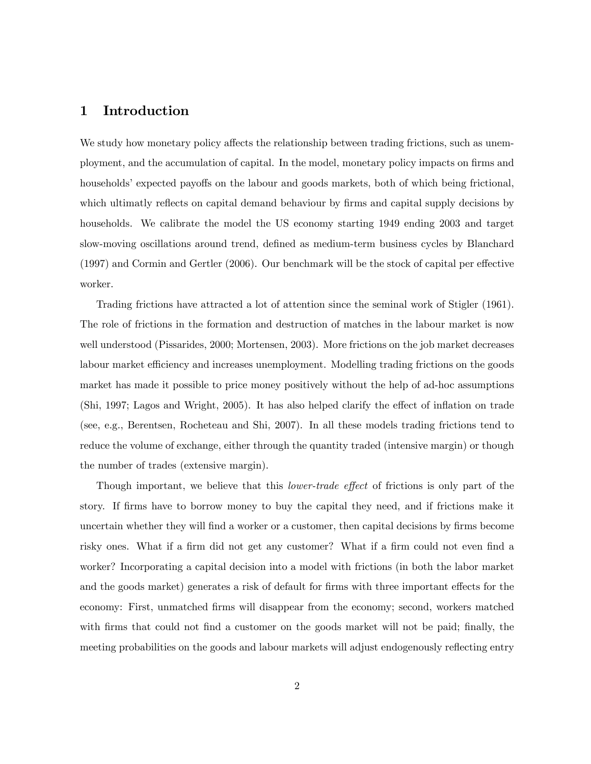### 1 Introduction

We study how monetary policy affects the relationship between trading frictions, such as unemployment, and the accumulation of capital. In the model, monetary policy impacts on firms and households' expected payoffs on the labour and goods markets, both of which being frictional, which ultimatly reflects on capital demand behaviour by firms and capital supply decisions by households. We calibrate the model the US economy starting 1949 ending 2003 and target slow-moving oscillations around trend, defined as medium-term business cycles by Blanchard  $(1997)$  and Cormin and Gertler  $(2006)$ . Our benchmark will be the stock of capital per effective worker.

Trading frictions have attracted a lot of attention since the seminal work of Stigler (1961). The role of frictions in the formation and destruction of matches in the labour market is now well understood (Pissarides, 2000; Mortensen, 2003). More frictions on the job market decreases labour market efficiency and increases unemployment. Modelling trading frictions on the goods market has made it possible to price money positively without the help of ad-hoc assumptions  $(Shi, 1997; \text{Lagos}$  and Wright, 2005). It has also helped clarify the effect of inflation on trade (see, e.g., Berentsen, Rocheteau and Shi, 2007). In all these models trading frictions tend to reduce the volume of exchange, either through the quantity traded (intensive margin) or though the number of trades (extensive margin).

Though important, we believe that this *lower-trade effect* of frictions is only part of the story. If firms have to borrow money to buy the capital they need, and if frictions make it uncertain whether they will find a worker or a customer, then capital decisions by firms become risky ones. What if a firm did not get any customer? What if a firm could not even find a worker? Incorporating a capital decision into a model with frictions (in both the labor market and the goods market) generates a risk of default for firms with three important effects for the economy: First, unmatched firms will disappear from the economy; second, workers matched with firms that could not find a customer on the goods market will not be paid; finally, the meeting probabilities on the goods and labour markets will adjust endogenously reflecting entry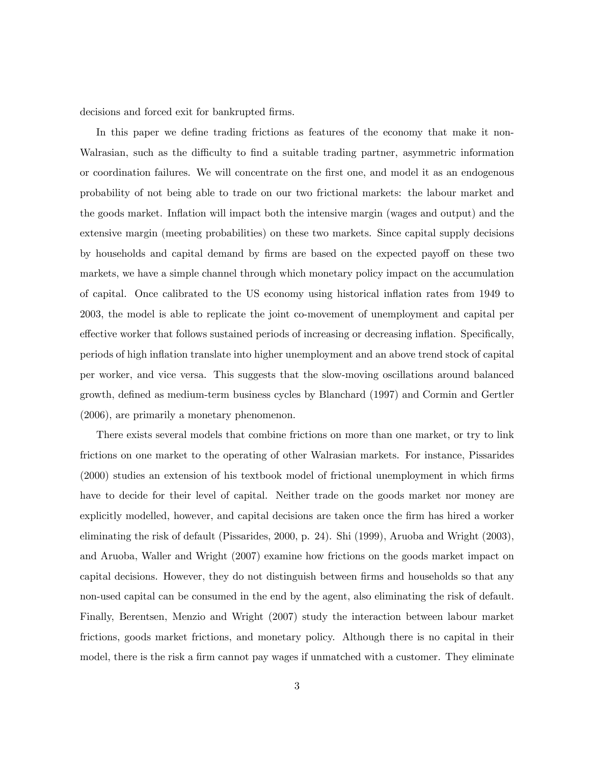decisions and forced exit for bankrupted firms.

In this paper we define trading frictions as features of the economy that make it non-Walrasian, such as the difficulty to find a suitable trading partner, asymmetric information or coordination failures. We will concentrate on the Örst one, and model it as an endogenous probability of not being able to trade on our two frictional markets: the labour market and the goods market. Ináation will impact both the intensive margin (wages and output) and the extensive margin (meeting probabilities) on these two markets. Since capital supply decisions by households and capital demand by firms are based on the expected payoff on these two markets, we have a simple channel through which monetary policy impact on the accumulation of capital. Once calibrated to the US economy using historical ináation rates from 1949 to 2003, the model is able to replicate the joint co-movement of unemployment and capital per effective worker that follows sustained periods of increasing or decreasing inflation. Specifically, periods of high ináation translate into higher unemployment and an above trend stock of capital per worker, and vice versa. This suggests that the slow-moving oscillations around balanced growth, defined as medium-term business cycles by Blanchard (1997) and Cormin and Gertler (2006), are primarily a monetary phenomenon.

There exists several models that combine frictions on more than one market, or try to link frictions on one market to the operating of other Walrasian markets. For instance, Pissarides (2000) studies an extension of his textbook model of frictional unemployment in which firms have to decide for their level of capital. Neither trade on the goods market nor money are explicitly modelled, however, and capital decisions are taken once the firm has hired a worker eliminating the risk of default (Pissarides, 2000, p. 24). Shi (1999), Aruoba and Wright (2003), and Aruoba, Waller and Wright (2007) examine how frictions on the goods market impact on capital decisions. However, they do not distinguish between firms and households so that any non-used capital can be consumed in the end by the agent, also eliminating the risk of default. Finally, Berentsen, Menzio and Wright (2007) study the interaction between labour market frictions, goods market frictions, and monetary policy. Although there is no capital in their model, there is the risk a firm cannot pay wages if unmatched with a customer. They eliminate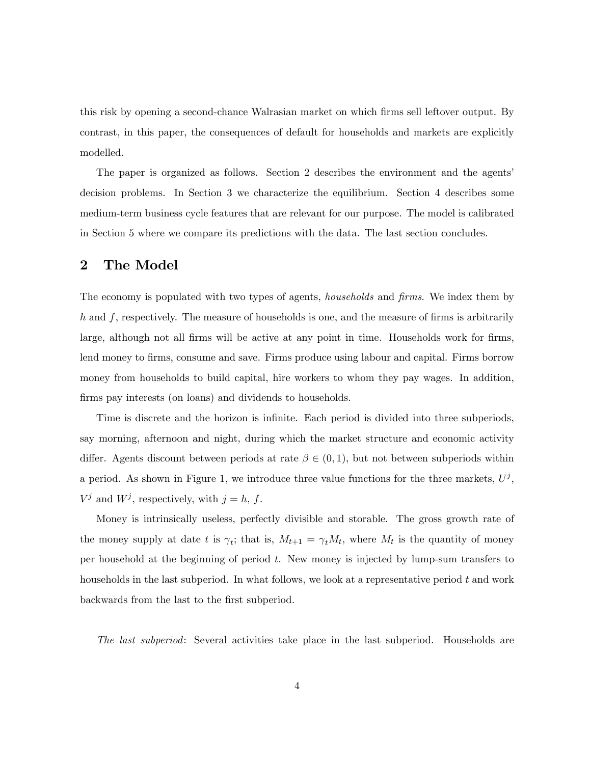this risk by opening a second-chance Walrasian market on which firms sell leftover output. By contrast, in this paper, the consequences of default for households and markets are explicitly modelled.

The paper is organized as follows. Section 2 describes the environment and the agents decision problems. In Section 3 we characterize the equilibrium. Section 4 describes some medium-term business cycle features that are relevant for our purpose. The model is calibrated in Section 5 where we compare its predictions with the data. The last section concludes.

### 2 The Model

The economy is populated with two types of agents, *households* and *firms*. We index them by  $h$  and  $f$ , respectively. The measure of households is one, and the measure of firms is arbitrarily large, although not all firms will be active at any point in time. Households work for firms, lend money to firms, consume and save. Firms produce using labour and capital. Firms borrow money from households to build capital, hire workers to whom they pay wages. In addition, firms pay interests (on loans) and dividends to households.

Time is discrete and the horizon is infinite. Each period is divided into three subperiods, say morning, afternoon and night, during which the market structure and economic activity differ. Agents discount between periods at rate  $\beta \in (0,1)$ , but not between subperiods within a period. As shown in Figure 1, we introduce three value functions for the three markets,  $U^j$ ,  $V^j$  and  $W^j$ , respectively, with  $j = h, f$ .

Money is intrinsically useless, perfectly divisible and storable. The gross growth rate of the money supply at date t is  $\gamma_t$ ; that is,  $M_{t+1} = \gamma_t M_t$ , where  $M_t$  is the quantity of money per household at the beginning of period t. New money is injected by lump-sum transfers to households in the last subperiod. In what follows, we look at a representative period  $t$  and work backwards from the last to the first subperiod.

The last subperiod: Several activities take place in the last subperiod. Households are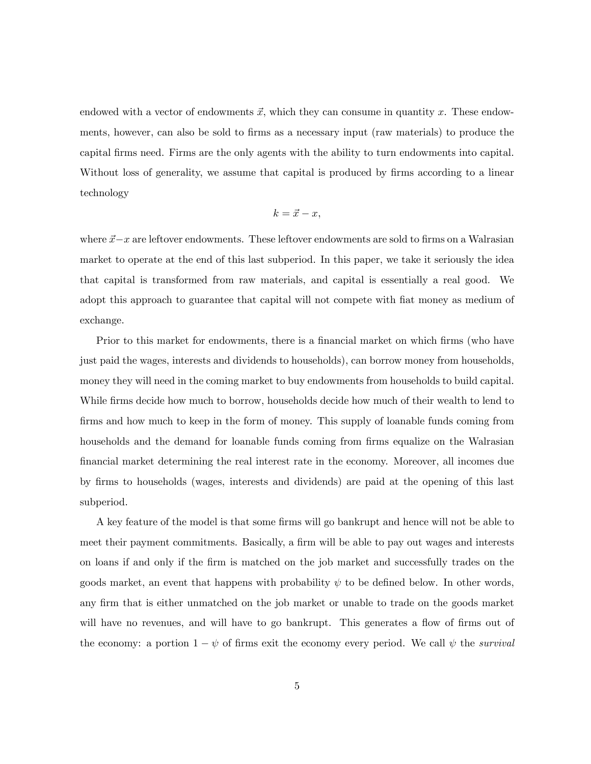endowed with a vector of endowments  $\vec{x}$ , which they can consume in quantity x. These endowments, however, can also be sold to firms as a necessary input (raw materials) to produce the capital Örms need. Firms are the only agents with the ability to turn endowments into capital. Without loss of generality, we assume that capital is produced by firms according to a linear technology

$$
k = \vec{x} - x,
$$

where  $\vec{x} - x$  are leftover endowments. These leftover endowments are sold to firms on a Walrasian market to operate at the end of this last subperiod. In this paper, we take it seriously the idea that capital is transformed from raw materials, and capital is essentially a real good. We adopt this approach to guarantee that capital will not compete with flat money as medium of exchange.

Prior to this market for endowments, there is a financial market on which firms (who have just paid the wages, interests and dividends to households), can borrow money from households, money they will need in the coming market to buy endowments from households to build capital. While firms decide how much to borrow, households decide how much of their wealth to lend to firms and how much to keep in the form of money. This supply of loanable funds coming from households and the demand for loanable funds coming from firms equalize on the Walrasian Önancial market determining the real interest rate in the economy. Moreover, all incomes due by Örms to households (wages, interests and dividends) are paid at the opening of this last subperiod.

A key feature of the model is that some firms will go bankrupt and hence will not be able to meet their payment commitments. Basically, a firm will be able to pay out wages and interests on loans if and only if the Örm is matched on the job market and successfully trades on the goods market, an event that happens with probability  $\psi$  to be defined below. In other words, any firm that is either unmatched on the job market or unable to trade on the goods market will have no revenues, and will have to go bankrupt. This generates a flow of firms out of the economy: a portion  $1 - \psi$  of firms exit the economy every period. We call  $\psi$  the survival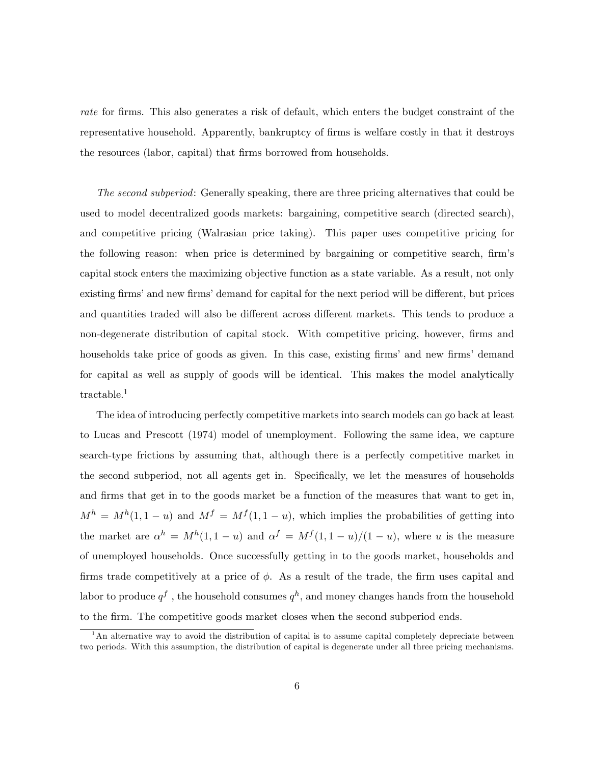rate for firms. This also generates a risk of default, which enters the budget constraint of the representative household. Apparently, bankruptcy of firms is welfare costly in that it destroys the resources (labor, capital) that firms borrowed from households.

The second subperiod: Generally speaking, there are three pricing alternatives that could be used to model decentralized goods markets: bargaining, competitive search (directed search), and competitive pricing (Walrasian price taking). This paper uses competitive pricing for the following reason: when price is determined by bargaining or competitive search, firm's capital stock enters the maximizing objective function as a state variable. As a result, not only existing firms' and new firms' demand for capital for the next period will be different, but prices and quantities traded will also be different across different markets. This tends to produce a non-degenerate distribution of capital stock. With competitive pricing, however, firms and households take price of goods as given. In this case, existing firms' and new firms' demand for capital as well as supply of goods will be identical. This makes the model analytically tractable.<sup>1</sup>

The idea of introducing perfectly competitive markets into search models can go back at least to Lucas and Prescott (1974) model of unemployment. Following the same idea, we capture search-type frictions by assuming that, although there is a perfectly competitive market in the second subperiod, not all agents get in. Specifically, we let the measures of households and firms that get in to the goods market be a function of the measures that want to get in,  $M^h = M^h(1, 1-u)$  and  $M^f = M^f(1, 1-u)$ , which implies the probabilities of getting into the market are  $\alpha^h = M^h(1, 1 - u)$  and  $\alpha^f = M^f(1, 1 - u)/(1 - u)$ , where u is the measure of unemployed households. Once successfully getting in to the goods market, households and firms trade competitively at a price of  $\phi$ . As a result of the trade, the firm uses capital and labor to produce  $q^f$  , the household consumes  $q^h,$  and money changes hands from the household to the Örm. The competitive goods market closes when the second subperiod ends.

 $1<sup>1</sup>$ An alternative way to avoid the distribution of capital is to assume capital completely depreciate between two periods. With this assumption, the distribution of capital is degenerate under all three pricing mechanisms.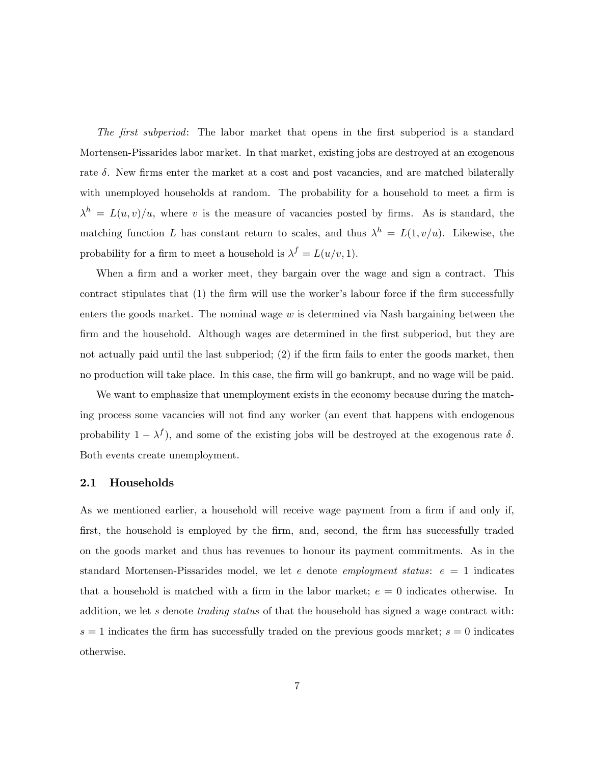The first subperiod: The labor market that opens in the first subperiod is a standard Mortensen-Pissarides labor market. In that market, existing jobs are destroyed at an exogenous rate  $\delta$ . New firms enter the market at a cost and post vacancies, and are matched bilaterally with unemployed households at random. The probability for a household to meet a firm is  $\lambda^h = L(u, v)/u$ , where v is the measure of vacancies posted by firms. As is standard, the matching function L has constant return to scales, and thus  $\lambda^h = L(1, v/u)$ . Likewise, the probability for a firm to meet a household is  $\lambda^f = L(u/v, 1)$ .

When a firm and a worker meet, they bargain over the wage and sign a contract. This contract stipulates that (1) the firm will use the worker's labour force if the firm successfully enters the goods market. The nominal wage w is determined via Nash bargaining between the firm and the household. Although wages are determined in the first subperiod, but they are not actually paid until the last subperiod;  $(2)$  if the firm fails to enter the goods market, then no production will take place. In this case, the firm will go bankrupt, and no wage will be paid.

We want to emphasize that unemployment exists in the economy because during the matching process some vacancies will not Önd any worker (an event that happens with endogenous probability  $1 - \lambda^f$ , and some of the existing jobs will be destroyed at the exogenous rate  $\delta$ . Both events create unemployment.

### 2.1 Households

As we mentioned earlier, a household will receive wage payment from a firm if and only if, first, the household is employed by the firm, and, second, the firm has successfully traded on the goods market and thus has revenues to honour its payment commitments. As in the standard Mortensen-Pissarides model, we let e denote employment status: e = 1 indicates that a household is matched with a firm in the labor market;  $e = 0$  indicates otherwise. In addition, we let s denote trading status of that the household has signed a wage contract with:  $s = 1$  indicates the firm has successfully traded on the previous goods market;  $s = 0$  indicates otherwise.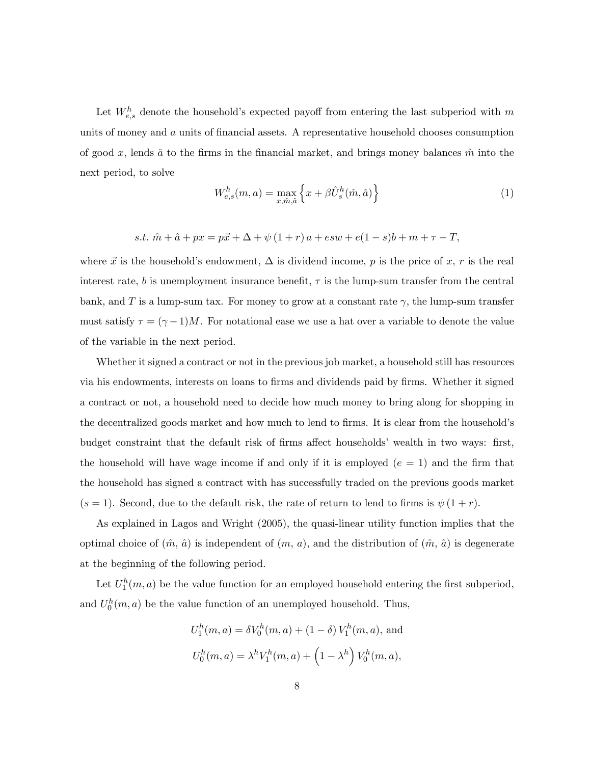Let  $W_{e,s}^h$  denote the household's expected payoff from entering the last subperiod with m units of money and  $a$  units of financial assets. A representative household chooses consumption of good x, lends  $\hat{a}$  to the firms in the financial market, and brings money balances  $\hat{m}$  into the next period, to solve

$$
W_{e,s}^h(m,a) = \max_{x,\hat{m},\hat{a}} \left\{ x + \beta \hat{U}_s^h(\hat{m},\hat{a}) \right\} \tag{1}
$$

s.t. 
$$
\hat{m} + \hat{a} + px = p\vec{x} + \Delta + \psi(1+r)a + esw + e(1-s)b + m + \tau - T,
$$

where  $\vec{x}$  is the household's endowment,  $\Delta$  is dividend income, p is the price of x, r is the real interest rate, b is unemployment insurance benefit,  $\tau$  is the lump-sum transfer from the central bank, and T is a lump-sum tax. For money to grow at a constant rate  $\gamma$ , the lump-sum transfer must satisfy  $\tau = (\gamma - 1)M$ . For notational ease we use a hat over a variable to denote the value of the variable in the next period.

Whether it signed a contract or not in the previous job market, a household still has resources via his endowments, interests on loans to firms and dividends paid by firms. Whether it signed a contract or not, a household need to decide how much money to bring along for shopping in the decentralized goods market and how much to lend to firms. It is clear from the household's budget constraint that the default risk of firms affect households' wealth in two ways: first, the household will have wage income if and only if it is employed  $(e = 1)$  and the firm that the household has signed a contract with has successfully traded on the previous goods market  $(s = 1)$ . Second, due to the default risk, the rate of return to lend to firms is  $\psi(1 + r)$ .

As explained in Lagos and Wright (2005), the quasi-linear utility function implies that the optimal choice of  $(\hat{m}, \hat{a})$  is independent of  $(m, a)$ , and the distribution of  $(\hat{m}, \hat{a})$  is degenerate at the beginning of the following period.

Let  $U_1^h(m, a)$  be the value function for an employed household entering the first subperiod, and  $U_0^h(m, a)$  be the value function of an unemployed household. Thus,

$$
U_1^h(m, a) = \delta V_0^h(m, a) + (1 - \delta) V_1^h(m, a),
$$
 and  

$$
U_0^h(m, a) = \lambda^h V_1^h(m, a) + (1 - \lambda^h) V_0^h(m, a),
$$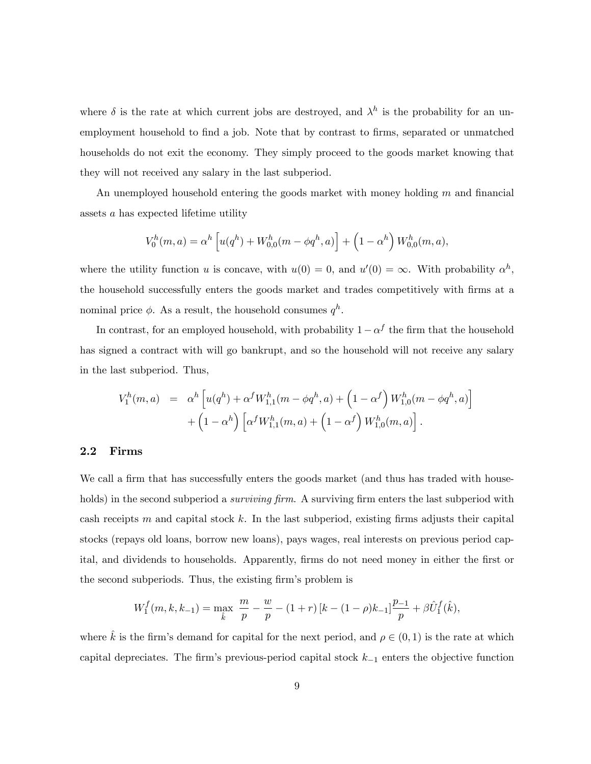where  $\delta$  is the rate at which current jobs are destroyed, and  $\lambda^h$  is the probability for an unemployment household to find a job. Note that by contrast to firms, separated or unmatched households do not exit the economy. They simply proceed to the goods market knowing that they will not received any salary in the last subperiod.

An unemployed household entering the goods market with money holding  $m$  and financial assets a has expected lifetime utility

$$
V_0^h(m, a) = \alpha^h \left[ u(q^h) + W_{0,0}^h(m - \phi q^h, a) \right] + \left( 1 - \alpha^h \right) W_{0,0}^h(m, a),
$$

where the utility function u is concave, with  $u(0) = 0$ , and  $u'(0) = \infty$ . With probability  $\alpha<sup>h</sup>$ , the household successfully enters the goods market and trades competitively with Örms at a nominal price  $\phi$ . As a result, the household consumes  $q^h$ .

In contrast, for an employed household, with probability  $1 - \alpha^f$  the firm that the household has signed a contract with will go bankrupt, and so the household will not receive any salary in the last subperiod. Thus,

$$
V_1^h(m, a) = \alpha^h \left[ u(q^h) + \alpha^f W_{1,1}^h(m - \phi q^h, a) + \left( 1 - \alpha^f \right) W_{1,0}^h(m - \phi q^h, a) \right] + \left( 1 - \alpha^h \right) \left[ \alpha^f W_{1,1}^h(m, a) + \left( 1 - \alpha^f \right) W_{1,0}^h(m, a) \right].
$$

### 2.2 Firms

We call a firm that has successfully enters the goods market (and thus has traded with households) in the second subperiod a *surviving firm*. A surviving firm enters the last subperiod with cash receipts  $m$  and capital stock  $k$ . In the last subperiod, existing firms adjusts their capital stocks (repays old loans, borrow new loans), pays wages, real interests on previous period capital, and dividends to households. Apparently, firms do not need money in either the first or the second subperiods. Thus, the existing firm's problem is

$$
W_1^f(m, k, k_{-1}) = \max_{\hat{k}} \frac{m}{p} - \frac{w}{p} - (1+r)[k - (1-\rho)k_{-1}]\frac{p_{-1}}{p} + \beta \hat{U}_1^f(\hat{k}),
$$

where  $\hat{k}$  is the firm's demand for capital for the next period, and  $\rho \in (0, 1)$  is the rate at which capital depreciates. The firm's previous-period capital stock  $k_{-1}$  enters the objective function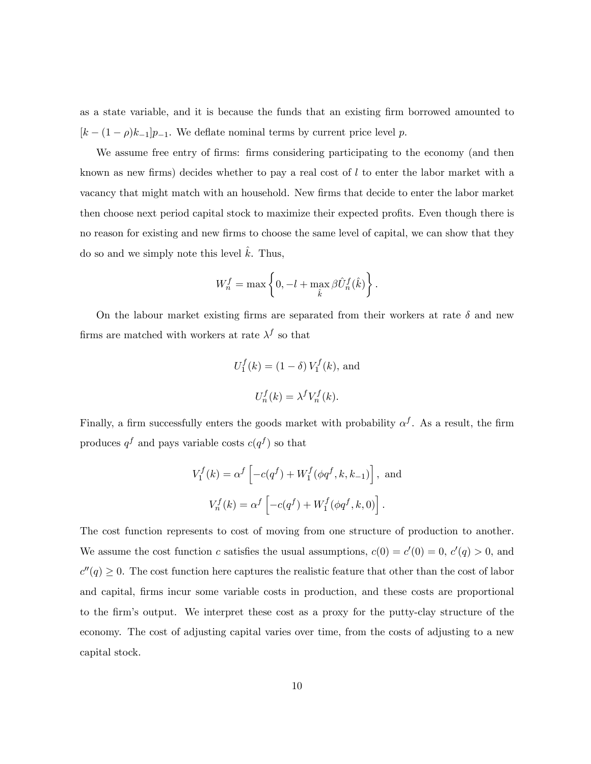as a state variable, and it is because the funds that an existing firm borrowed amounted to  $[k - (1 - \rho)k_{-1}]p_{-1}$ . We deflate nominal terms by current price level p.

We assume free entry of firms: firms considering participating to the economy (and then known as new firms) decides whether to pay a real cost of  $l$  to enter the labor market with a vacancy that might match with an household. New firms that decide to enter the labor market then choose next period capital stock to maximize their expected profits. Even though there is no reason for existing and new firms to choose the same level of capital, we can show that they do so and we simply note this level  $\hat{k}$ . Thus,

$$
W_n^f=\max\left\{0,-l+\max_{\hat{k}}\beta\hat{U}_n^f(\hat{k})\right\}.
$$

On the labour market existing firms are separated from their workers at rate  $\delta$  and new firms are matched with workers at rate  $\lambda^f$  so that

$$
U_1^f(k) = (1 - \delta) V_1^f(k), \text{ and}
$$
  

$$
U_n^f(k) = \lambda^f V_n^f(k).
$$

Finally, a firm successfully enters the goods market with probability  $\alpha^f$ . As a result, the firm produces  $q<sup>f</sup>$  and pays variable costs  $c(q<sup>f</sup>)$  so that

$$
V_1^f(k) = \alpha^f \left[ -c(q^f) + W_1^f(\phi q^f, k, k_{-1}) \right],
$$
 and  

$$
V_n^f(k) = \alpha^f \left[ -c(q^f) + W_1^f(\phi q^f, k, 0) \right].
$$

The cost function represents to cost of moving from one structure of production to another. We assume the cost function c satisfies the usual assumptions,  $c(0) = c'(0) = 0, c'(q) > 0$ , and  $c''(q) \geq 0$ . The cost function here captures the realistic feature that other than the cost of labor and capital, firms incur some variable costs in production, and these costs are proportional to the Örmís output. We interpret these cost as a proxy for the putty-clay structure of the economy. The cost of adjusting capital varies over time, from the costs of adjusting to a new capital stock.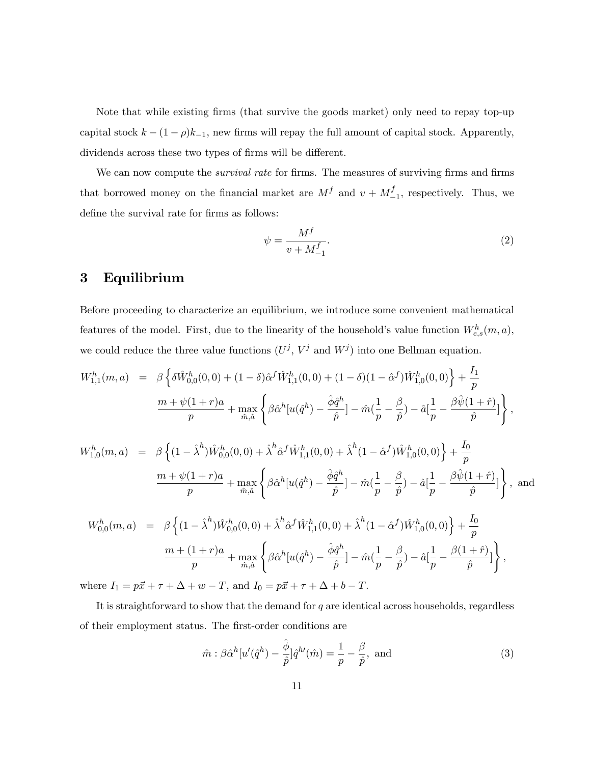Note that while existing firms (that survive the goods market) only need to repay top-up capital stock  $k - (1 - \rho)k_{-1}$ , new firms will repay the full amount of capital stock. Apparently, dividends across these two types of firms will be different.

We can now compute the *survival rate* for firms. The measures of surviving firms and firms that borrowed money on the financial market are  $M^f$  and  $v + M^f$  $\frac{1}{-1}$ , respectively. Thus, we define the survival rate for firms as follows:  $\,$ 

$$
\psi = \frac{M^f}{v + M_{-1}^f}.\tag{2}
$$

### 3 Equilibrium

Before proceeding to characterize an equilibrium, we introduce some convenient mathematical features of the model. First, due to the linearity of the household's value function  $W_{e,s}^h(m, a)$ , we could reduce the three value functions  $(U^j, V^j$  and  $W^j)$  into one Bellman equation.

$$
W_{1,1}^{h}(m, a) = \beta \left\{ \delta \hat{W}_{0,0}^{h}(0,0) + (1 - \delta) \hat{\alpha}^{f} \hat{W}_{1,1}^{h}(0,0) + (1 - \delta)(1 - \hat{\alpha}^{f}) \hat{W}_{1,0}^{h}(0,0) \right\} + \frac{I_{1}}{p}
$$
  
\n
$$
\frac{m + \psi(1 + r)a}{p} + \max_{\hat{m},\hat{a}} \left\{ \beta \hat{\alpha}^{h}[u(\hat{q}^{h}) - \frac{\hat{\phi}\hat{q}^{h}}{\hat{p}}] - \hat{m}(\frac{1}{p} - \frac{\beta}{\hat{p}}) - \hat{a}[\frac{1}{p} - \frac{\beta \hat{\psi}(1 + \hat{r})}{\hat{p}}] \right\},
$$
  
\n
$$
W_{1,0}^{h}(m, a) = \beta \left\{ (1 - \hat{\lambda}^{h}) \hat{W}_{0,0}^{h}(0,0) + \hat{\lambda}^{h} \hat{\alpha}^{f} \hat{W}_{1,1}^{h}(0,0) + \hat{\lambda}^{h}(1 - \hat{\alpha}^{f}) \hat{W}_{1,0}^{h}(0,0) \right\} + \frac{I_{0}}{p}
$$
  
\n
$$
\frac{m + \psi(1 + r)a}{p} + \max_{\hat{m},\hat{a}} \left\{ \beta \hat{\alpha}^{h}[u(\hat{q}^{h}) - \frac{\hat{\phi}\hat{q}^{h}}{\hat{p}}] - \hat{m}(\frac{1}{p} - \frac{\beta}{\hat{p}}) - \hat{a}[\frac{1}{p} - \frac{\beta \hat{\psi}(1 + \hat{r})}{\hat{p}}] \right\}, \text{ and}
$$
  
\n
$$
W_{0,0}^{h}(m, a) = \beta \left\{ (1 - \hat{\lambda}^{h}) \hat{W}_{0,0}^{h}(0,0) + \hat{\lambda}^{h} \hat{\alpha}^{f} \hat{W}_{1,1}^{h}(0,0) + \hat{\lambda}^{h}(1 - \hat{\alpha}^{f}) \hat{W}_{1,0}^{h}(0,0) \right\} + \frac{I_{0}}{p}
$$
  
\n
$$
\frac{m + (1 + r)a}{p} + \max_{\hat{m},\hat{a}} \left\{ \beta \hat{\alpha}^{h}[u(\hat{q
$$

where  $I_1 = p\vec{x} + \tau + \Delta + w - T$ , and  $I_0 = p\vec{x} + \tau + \Delta + b - T$ .

It is straightforward to show that the demand for  $q$  are identical across households, regardless of their employment status. The first-order conditions are

$$
\hat{m} : \beta \hat{\alpha}^h[u'(\hat{q}^h) - \frac{\hat{\phi}}{\hat{p}}]\hat{q}^{h'}(\hat{m}) = \frac{1}{p} - \frac{\beta}{\hat{p}}, \text{ and}
$$
\n(3)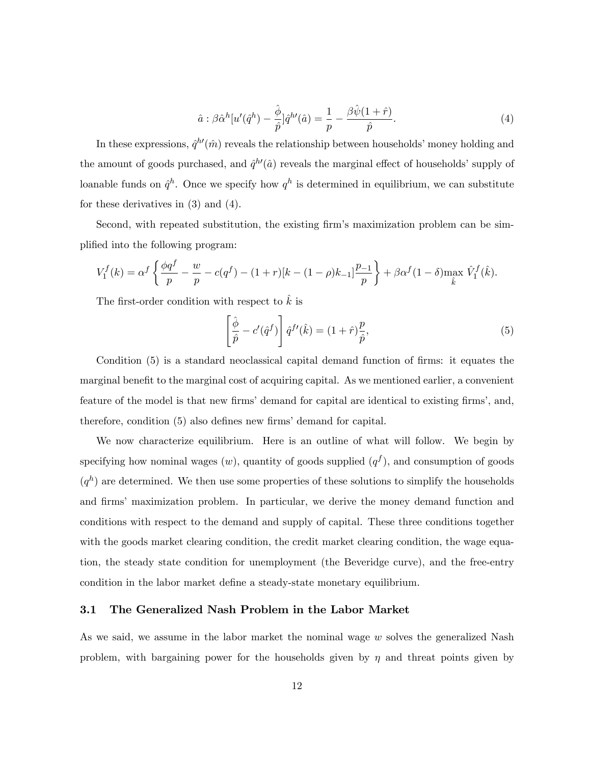$$
\hat{a} : \beta \hat{\alpha}^h[u'(\hat{q}^h) - \frac{\hat{\phi}}{\hat{p}}]\hat{q}^{h'}(\hat{a}) = \frac{1}{p} - \frac{\beta \hat{\psi}(1+\hat{r})}{\hat{p}}.\tag{4}
$$

In these expressions,  $\hat{q}^{h\prime}(\hat{m})$  reveals the relationship between households' money holding and the amount of goods purchased, and  $\hat{q}^{h\prime}(\hat{a})$  reveals the marginal effect of households' supply of loanable funds on  $\hat{q}^h$ . Once we specify how  $q^h$  is determined in equilibrium, we can substitute for these derivatives in (3) and (4).

Second, with repeated substitution, the existing firm's maximization problem can be simplified into the following program:

$$
V_1^f(k) = \alpha^f \left\{ \frac{\phi q^f}{p} - \frac{w}{p} - c(q^f) - (1+r)[k - (1-\rho)k_{-1}] \frac{p_{-1}}{p} \right\} + \beta \alpha^f (1-\delta) \max_{\hat{k}} \hat{V}_1^f(\hat{k}).
$$

The first-order condition with respect to  $\hat{k}$  is

$$
\left[\frac{\hat{\phi}}{\hat{p}} - c'(\hat{q}^f)\right] \hat{q}^{f\prime}(\hat{k}) = (1+\hat{r})\frac{p}{\hat{p}},\tag{5}
$$

Condition (5) is a standard neoclassical capital demand function of firms: it equates the marginal benefit to the marginal cost of acquiring capital. As we mentioned earlier, a convenient feature of the model is that new firms' demand for capital are identical to existing firms', and, therefore, condition  $(5)$  also defines new firms' demand for capital.

We now characterize equilibrium. Here is an outline of what will follow. We begin by specifying how nominal wages  $(w)$ , quantity of goods supplied  $(q<sup>f</sup>)$ , and consumption of goods  $(q<sup>h</sup>)$  are determined. We then use some properties of these solutions to simplify the households and firms' maximization problem. In particular, we derive the money demand function and conditions with respect to the demand and supply of capital. These three conditions together with the goods market clearing condition, the credit market clearing condition, the wage equation, the steady state condition for unemployment (the Beveridge curve), and the free-entry condition in the labor market define a steady-state monetary equilibrium.

### 3.1 The Generalized Nash Problem in the Labor Market

As we said, we assume in the labor market the nominal wage  $w$  solves the generalized Nash problem, with bargaining power for the households given by  $\eta$  and threat points given by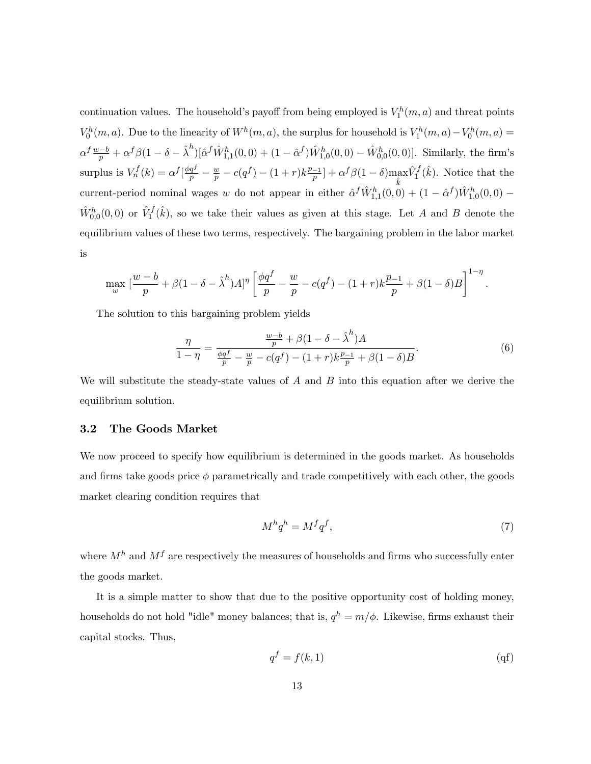continuation values. The household's payoff from being employed is  $V_1^h(m, a)$  and threat points  $V_0^h(m, a)$ . Due to the linearity of  $W^h(m, a)$ , the surplus for household is  $V_1^h(m, a) - V_0^h(m, a) =$  $\alpha^f \frac{w-b}{p} + \alpha^f \beta (1 - \delta - \hat{\lambda}^h) [\hat{\alpha}^f \hat{W}^h_{1,1}(0,0) + (1 - \hat{\alpha}^f) \hat{W}^h_{1,0}(0,0) - \hat{W}^h_{0,0}(0,0)].$  Similarly, the firm's surplus is  $V_n^f(k) = \alpha^f \left[ \frac{\phi q^f}{p} - \frac{w}{p} - c(q^f) - (1+r)k \frac{p-1}{p} \right] + \alpha^f \beta (1-\delta) \max_{\hat{k}}$  $\hat{V}_1^f(\hat{k})$ . Notice that the current-period nominal wages w do not appear in either  $\hat{\alpha}^f \hat{W}^h_{1,1}(0,0) + (1 - \hat{\alpha}^f) \hat{W}^h_{1,0}(0,0)$  $\hat{W}^h_{0,0}(0,0)$  or  $\hat{V}^f_1(\hat{k})$ , so we take their values as given at this stage. Let A and B denote the equilibrium values of these two terms, respectively. The bargaining problem in the labor market is

$$
\max_{w} \left[ \frac{w-b}{p} + \beta (1 - \delta - \hat{\lambda}^h) A \right]^\eta \left[ \frac{\phi q^f}{p} - \frac{w}{p} - c(q^f) - (1+r) k \frac{p-1}{p} + \beta (1-\delta) B \right]^{1-\eta}.
$$

The solution to this bargaining problem yields

$$
\frac{\eta}{1-\eta} = \frac{\frac{w-b}{p} + \beta(1-\delta-\hat{\lambda}^h)A}{\frac{\phi q^f}{p} - \frac{w}{p} - c(q^f) - (1+r)k\frac{p-1}{p} + \beta(1-\delta)B}.
$$
(6)

We will substitute the steady-state values of  $A$  and  $B$  into this equation after we derive the equilibrium solution.

### 3.2 The Goods Market

We now proceed to specify how equilibrium is determined in the goods market. As households and firms take goods price  $\phi$  parametrically and trade competitively with each other, the goods market clearing condition requires that

$$
M^h q^h = M^f q^f,\tag{7}
$$

where  $M^h$  and  $M^f$  are respectively the measures of households and firms who successfully enter the goods market.

It is a simple matter to show that due to the positive opportunity cost of holding money, households do not hold "idle" money balances; that is,  $q^h = m/\phi$ . Likewise, firms exhaust their capital stocks. Thus,

$$
q^f = f(k, 1) \tag{qf}
$$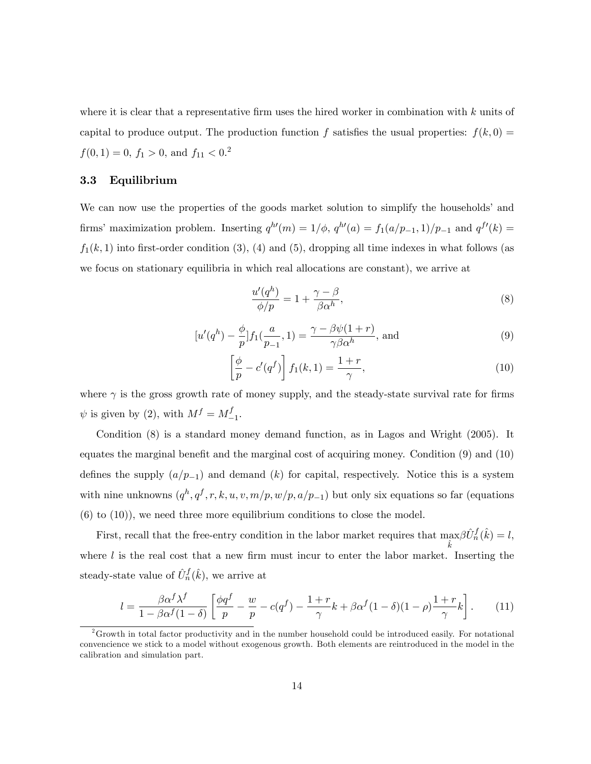where it is clear that a representative firm uses the hired worker in combination with  $k$  units of capital to produce output. The production function f satisfies the usual properties:  $f(k, 0) =$  $f(0,1) = 0, f_1 > 0, \text{ and } f_{11} < 0.2$ 

### 3.3 Equilibrium

We can now use the properties of the goods market solution to simplify the households' and firms' maximization problem. Inserting  $q^{h'}(m) = 1/\phi$ ,  $q^{h'}(a) = f_1(a/p_{-1}, 1)/p_{-1}$  and  $q^{f'}(k) =$  $f_1(k, 1)$  into first-order condition (3), (4) and (5), dropping all time indexes in what follows (as we focus on stationary equilibria in which real allocations are constant), we arrive at

$$
\frac{u'(q^h)}{\phi/p} = 1 + \frac{\gamma - \beta}{\beta \alpha^h},\tag{8}
$$

$$
[u'(q^h) - \frac{\phi}{p}]f_1(\frac{a}{p-1}, 1) = \frac{\gamma - \beta\psi(1+r)}{\gamma\beta\alpha^h}, \text{ and}
$$
\n(9)

$$
\left[\frac{\phi}{p} - c'(q^f)\right] f_1(k, 1) = \frac{1+r}{\gamma},\tag{10}
$$

where  $\gamma$  is the gross growth rate of money supply, and the steady-state survival rate for firms  $\psi$  is given by (2), with  $M^f = M^f$  $\frac{J}{-1}$ .

Condition (8) is a standard money demand function, as in Lagos and Wright (2005). It equates the marginal benefit and the marginal cost of acquiring money. Condition  $(9)$  and  $(10)$ defines the supply  $(a/p_{-1})$  and demand  $(k)$  for capital, respectively. Notice this is a system with nine unknowns  $(q^h, q^f, r, k, u, v, m/p, w/p, a/p_{-1})$  but only six equations so far (equations  $(6)$  to  $(10)$ , we need three more equilibrium conditions to close the model.

First, recall that the free-entry condition in the labor market requires that max  $\hat{k}$  $\beta \hat{U}_n^f(\hat{k}) = l,$ where  $l$  is the real cost that a new firm must incur to enter the labor market. Inserting the steady-state value of  $\hat{U}_n^f(\hat{k})$ , we arrive at

$$
l = \frac{\beta \alpha^f \lambda^f}{1 - \beta \alpha^f (1 - \delta)} \left[ \frac{\phi q^f}{p} - \frac{w}{p} - c(q^f) - \frac{1 + r}{\gamma} k + \beta \alpha^f (1 - \delta)(1 - \rho) \frac{1 + r}{\gamma} k \right].
$$
 (11)

 $2G$ rowth in total factor productivity and in the number household could be introduced easily. For notational convencience we stick to a model without exogenous growth. Both elements are reintroduced in the model in the calibration and simulation part.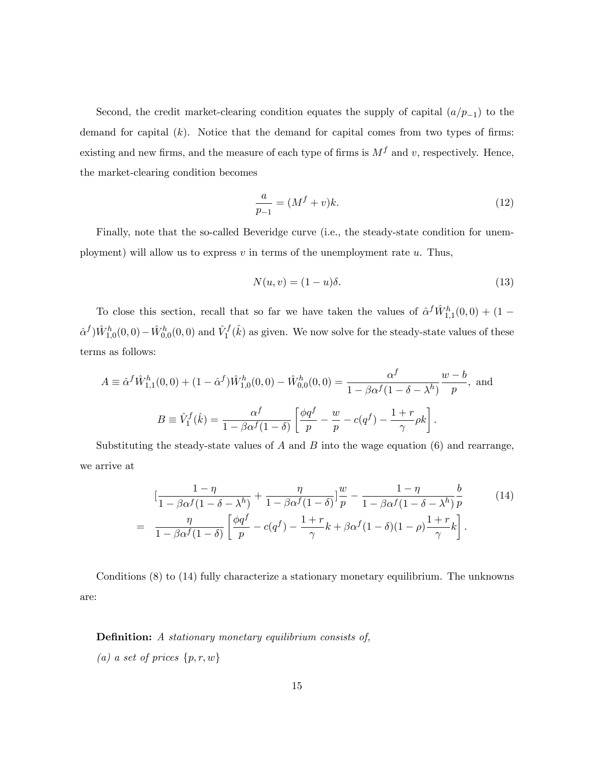Second, the credit market-clearing condition equates the supply of capital  $\left(\frac{a}{p-1}\right)$  to the demand for capital  $(k)$ . Notice that the demand for capital comes from two types of firms: existing and new firms, and the measure of each type of firms is  $M<sup>f</sup>$  and v, respectively. Hence, the market-clearing condition becomes

$$
\frac{a}{p-1} = (M^f + v)k.\t\t(12)
$$

Finally, note that the so-called Beveridge curve (i.e., the steady-state condition for unemployment) will allow us to express  $v$  in terms of the unemployment rate  $u$ . Thus,

$$
N(u,v) = (1-u)\delta.
$$
\n(13)

To close this section, recall that so far we have taken the values of  $\hat{\alpha}^f \hat{W}^h_{1,1}(0,0) + (1 \hat{\alpha}^f \hat{W}^h_{1,0}(0,0) - \hat{W}^h_{0,0}(0,0)$  and  $\hat{V}^f_1(\hat{k})$  as given. We now solve for the steady-state values of these terms as follows:

$$
A \equiv \hat{\alpha}^f \hat{W}_{1,1}^h(0,0) + (1 - \hat{\alpha}^f) \hat{W}_{1,0}^h(0,0) - \hat{W}_{0,0}^h(0,0) = \frac{\alpha^f}{1 - \beta \alpha^f (1 - \delta - \lambda^h)} \frac{w - b}{p}, \text{ and}
$$

$$
B \equiv \hat{V}_1^f(\hat{k}) = \frac{\alpha^f}{1 - \beta \alpha^f (1 - \delta)} \left[ \frac{\phi q^f}{p} - \frac{w}{p} - c(q^f) - \frac{1 + r}{\gamma} \rho k \right].
$$

Substituting the steady-state values of  $A$  and  $B$  into the wage equation (6) and rearrange, we arrive at

$$
\left[\frac{1-\eta}{1-\beta\alpha^f(1-\delta-\lambda^h)}+\frac{\eta}{1-\beta\alpha^f(1-\delta)}\right]\frac{w}{p}-\frac{1-\eta}{1-\beta\alpha^f(1-\delta-\lambda^h)}\frac{b}{p}
$$
\n
$$
=\frac{\eta}{1-\beta\alpha^f(1-\delta)}\left[\frac{\phi q^f}{p}-c(q^f)-\frac{1+r}{\gamma}k+\beta\alpha^f(1-\delta)(1-\rho)\frac{1+r}{\gamma}k\right].
$$
\n(14)

Conditions (8) to (14) fully characterize a stationary monetary equilibrium. The unknowns are:

Definition: A stationary monetary equilibrium consists of, (a) a set of prices  $\{p,r,w\}$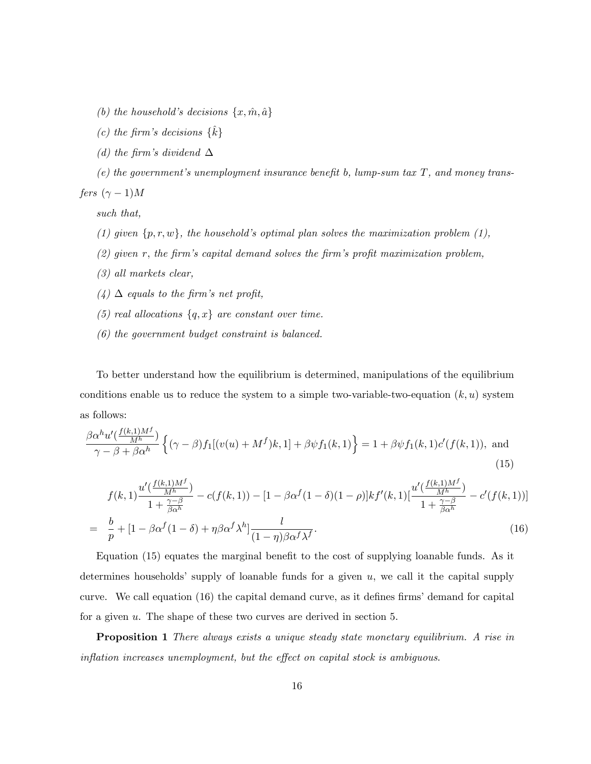- (b) the household's decisions  $\{x, \hat{m}, \hat{a}\}$
- (c) the firm's decisions  $\{\hat{k}\}$
- (d) the firm's dividend  $\Delta$
- (e) the government's unemployment insurance benefit b, lump-sum tax  $T$ , and money transfers  $(\gamma - 1)M$

such that,

- (1) given  $\{p, r, w\}$ , the household's optimal plan solves the maximization problem (1),
- $(2)$  given r, the firm's capital demand solves the firm's profit maximization problem,
- (3) all markets clear,
- $(4)$   $\Delta$  equals to the firm's net profit,
- (5) real allocations  $\{q, x\}$  are constant over time.
- (6) the government budget constraint is balanced.

To better understand how the equilibrium is determined, manipulations of the equilibrium conditions enable us to reduce the system to a simple two-variable-two-equation  $(k, u)$  system as follows:

$$
\frac{\beta \alpha^h u'(\frac{f(k,1)M^f}{M^h})}{\gamma - \beta + \beta \alpha^h} \left\{ (\gamma - \beta) f_1[(v(u) + M^f)k, 1] + \beta \psi f_1(k, 1) \right\} = 1 + \beta \psi f_1(k, 1) c'(f(k, 1)), \text{ and}
$$
\n(15)

$$
f(k,1)\frac{u'(\frac{f(k,1)M^f}{M^h})}{1+\frac{\gamma-\beta}{\beta\alpha^h}} - c(f(k,1)) - [1-\beta\alpha^f(1-\delta)(1-\rho)]kf'(k,1)[\frac{u'(\frac{f(k,1)M^f}{M^h})}{1+\frac{\gamma-\beta}{\beta\alpha^h}} - c'(f(k,1))]
$$
\n
$$
= \frac{b}{\alpha} + [1-\beta\alpha^f(1-\delta) + n\beta\alpha^f\lambda^h] - \frac{l}{\alpha\beta^h} \tag{16}
$$

$$
= \frac{b}{p} + [1 - \beta \alpha^f (1 - \delta) + \eta \beta \alpha^f \lambda^h] \frac{l}{(1 - \eta) \beta \alpha^f \lambda^f}.
$$
\n(16)

Equation (15) equates the marginal benefit to the cost of supplying loanable funds. As it determines households' supply of loanable funds for a given  $u$ , we call it the capital supply curve. We call equation  $(16)$  the capital demand curve, as it defines firms' demand for capital for a given u. The shape of these two curves are derived in section 5.

Proposition 1 There always exists a unique steady state monetary equilibrium. A rise in  $inflation$  increases unemployment, but the effect on capital stock is ambiguous.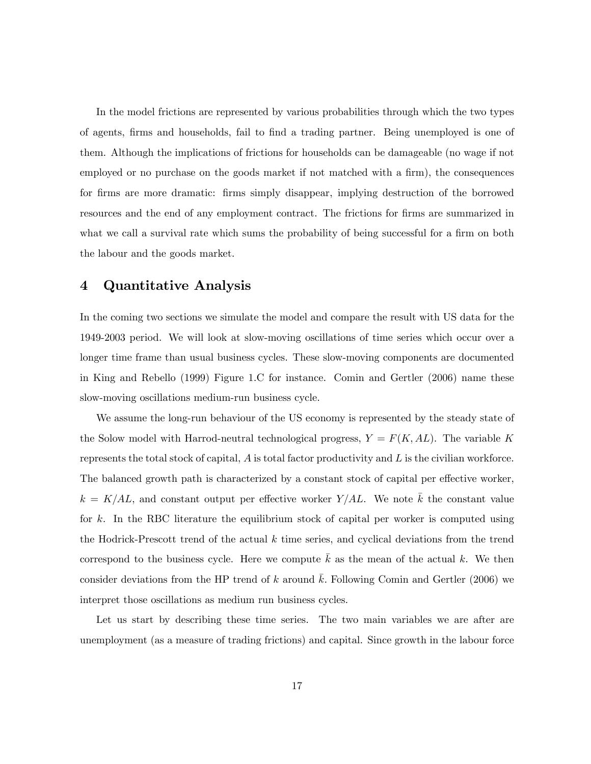In the model frictions are represented by various probabilities through which the two types of agents, firms and households, fail to find a trading partner. Being unemployed is one of them. Although the implications of frictions for households can be damageable (no wage if not employed or no purchase on the goods market if not matched with a firm), the consequences for firms are more dramatic: firms simply disappear, implying destruction of the borrowed resources and the end of any employment contract. The frictions for firms are summarized in what we call a survival rate which sums the probability of being successful for a firm on both the labour and the goods market.

## 4 Quantitative Analysis

In the coming two sections we simulate the model and compare the result with US data for the 1949-2003 period. We will look at slow-moving oscillations of time series which occur over a longer time frame than usual business cycles. These slow-moving components are documented in King and Rebello (1999) Figure 1.C for instance. Comin and Gertler (2006) name these slow-moving oscillations medium-run business cycle.

We assume the long-run behaviour of the US economy is represented by the steady state of the Solow model with Harrod-neutral technological progress,  $Y = F(K, AL)$ . The variable K represents the total stock of capital,  $A$  is total factor productivity and  $L$  is the civilian workforce. The balanced growth path is characterized by a constant stock of capital per effective worker,  $k = K/AL$ , and constant output per effective worker Y/AL. We note  $\overline{k}$  the constant value for k. In the RBC literature the equilibrium stock of capital per worker is computed using the Hodrick-Prescott trend of the actual  $k$  time series, and cyclical deviations from the trend correspond to the business cycle. Here we compute  $\overline{k}$  as the mean of the actual k. We then consider deviations from the HP trend of k around  $\bar{k}$ . Following Comin and Gertler (2006) we interpret those oscillations as medium run business cycles.

Let us start by describing these time series. The two main variables we are after are unemployment (as a measure of trading frictions) and capital. Since growth in the labour force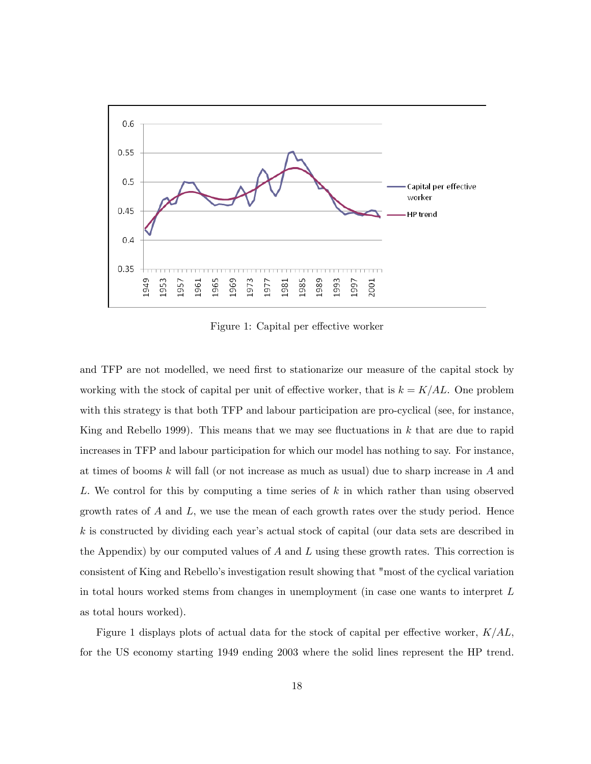

Figure 1: Capital per effective worker

and TFP are not modelled, we need first to stationarize our measure of the capital stock by working with the stock of capital per unit of effective worker, that is  $k = K/AL$ . One problem with this strategy is that both TFP and labour participation are pro-cyclical (see, for instance, King and Rebello 1999). This means that we may see fluctuations in  $k$  that are due to rapid increases in TFP and labour participation for which our model has nothing to say. For instance, at times of booms k will fall (or not increase as much as usual) due to sharp increase in A and L. We control for this by computing a time series of k in which rather than using observed growth rates of  $A$  and  $L$ , we use the mean of each growth rates over the study period. Hence k is constructed by dividing each yearís actual stock of capital (our data sets are described in the Appendix) by our computed values of  $A$  and  $L$  using these growth rates. This correction is consistent of King and Rebelloís investigation result showing that "most of the cyclical variation in total hours worked stems from changes in unemployment (in case one wants to interpret L as total hours worked).

Figure 1 displays plots of actual data for the stock of capital per effective worker,  $K/AL$ , for the US economy starting 1949 ending 2003 where the solid lines represent the HP trend.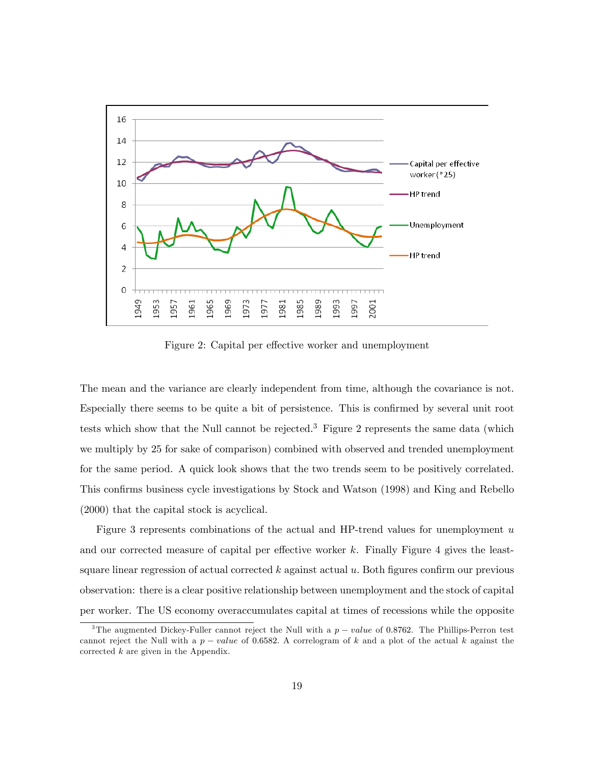

Figure 2: Capital per effective worker and unemployment

The mean and the variance are clearly independent from time, although the covariance is not. Especially there seems to be quite a bit of persistence. This is confirmed by several unit root tests which show that the Null cannot be rejected.<sup>3</sup> Figure 2 represents the same data (which we multiply by 25 for sake of comparison) combined with observed and trended unemployment for the same period. A quick look shows that the two trends seem to be positively correlated. This confirms business cycle investigations by Stock and Watson (1998) and King and Rebello (2000) that the capital stock is acyclical.

Figure 3 represents combinations of the actual and HP-trend values for unemployment  $u$ and our corrected measure of capital per effective worker  $k$ . Finally Figure 4 gives the leastsquare linear regression of actual corrected  $k$  against actual  $u$ . Both figures confirm our previous observation: there is a clear positive relationship between unemployment and the stock of capital per worker. The US economy overaccumulates capital at times of recessions while the opposite

<sup>&</sup>lt;sup>3</sup>The augmented Dickey-Fuller cannot reject the Null with a  $p-value$  of 0.8762. The Phillips-Perron test cannot reject the Null with a  $p-value$  of 0.6582. A correlogram of k and a plot of the actual k against the corrected  $k$  are given in the Appendix.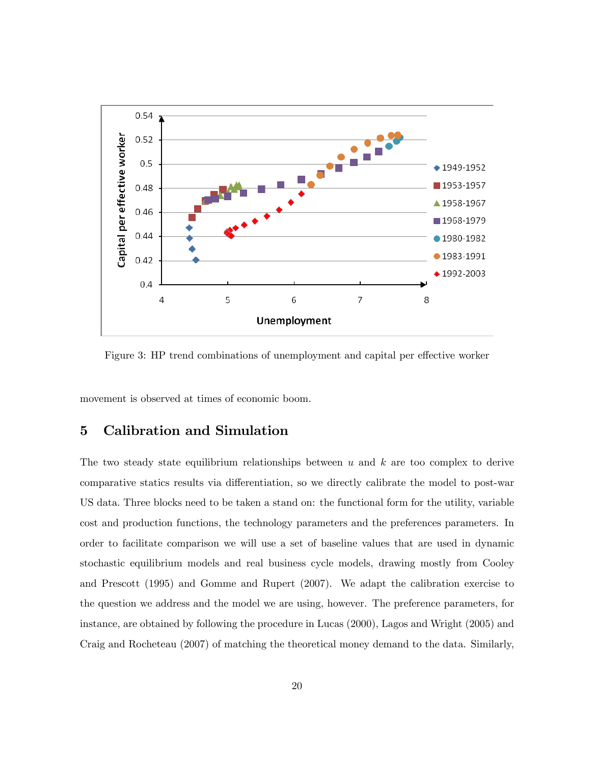

Figure 3: HP trend combinations of unemployment and capital per effective worker

movement is observed at times of economic boom.

## 5 Calibration and Simulation

The two steady state equilibrium relationships between  $u$  and  $k$  are too complex to derive comparative statics results via differentiation, so we directly calibrate the model to post-war US data: Three blocks need to be taken a stand on: the functional form for the utility, variable cost and production functions, the technology parameters and the preferences parameters. In order to facilitate comparison we will use a set of baseline values that are used in dynamic stochastic equilibrium models and real business cycle models, drawing mostly from Cooley and Prescott (1995) and Gomme and Rupert (2007). We adapt the calibration exercise to the question we address and the model we are using, however. The preference parameters, for instance, are obtained by following the procedure in Lucas (2000), Lagos and Wright (2005) and Craig and Rocheteau (2007) of matching the theoretical money demand to the data. Similarly,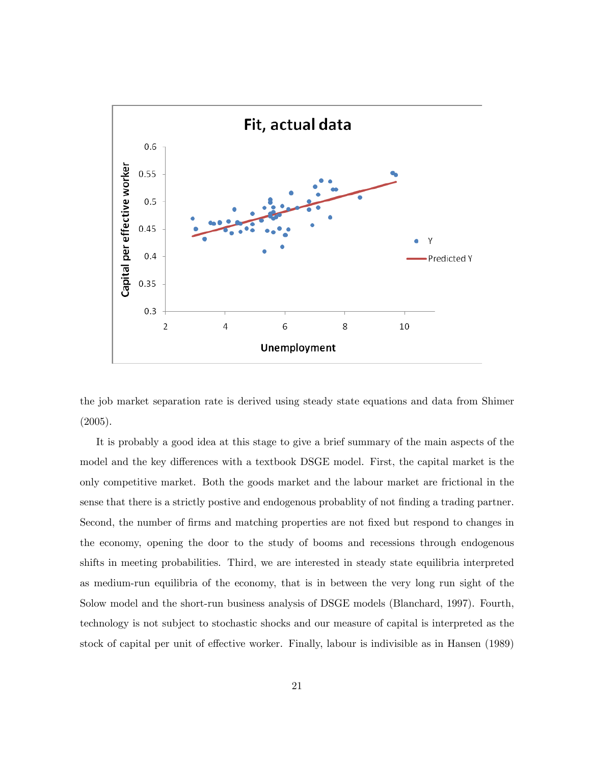

the job market separation rate is derived using steady state equations and data from Shimer (2005).

It is probably a good idea at this stage to give a brief summary of the main aspects of the model and the key differences with a textbook DSGE model. First, the capital market is the only competitive market. Both the goods market and the labour market are frictional in the sense that there is a strictly postive and endogenous probability of not finding a trading partner. Second, the number of firms and matching properties are not fixed but respond to changes in the economy, opening the door to the study of booms and recessions through endogenous shifts in meeting probabilities. Third, we are interested in steady state equilibria interpreted as medium-run equilibria of the economy, that is in between the very long run sight of the Solow model and the short-run business analysis of DSGE models (Blanchard, 1997). Fourth, technology is not subject to stochastic shocks and our measure of capital is interpreted as the stock of capital per unit of effective worker. Finally, labour is indivisible as in Hansen (1989)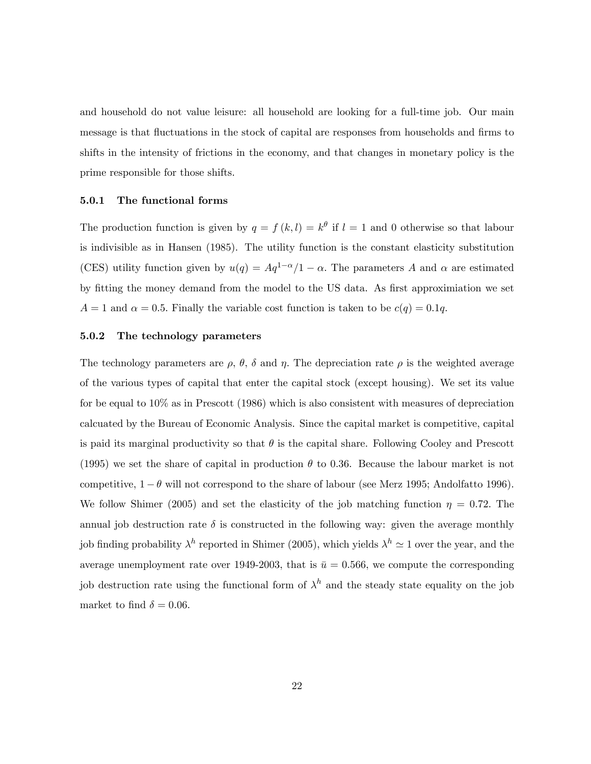and household do not value leisure: all household are looking for a full-time job. Our main message is that fluctuations in the stock of capital are responses from households and firms to shifts in the intensity of frictions in the economy, and that changes in monetary policy is the prime responsible for those shifts.

#### 5.0.1 The functional forms

The production function is given by  $q = f(k, l) = k^{\theta}$  if  $l = 1$  and 0 otherwise so that labour is indivisible as in Hansen (1985). The utility function is the constant elasticity substitution (CES) utility function given by  $u(q) = Aq^{1-\alpha}/1 - \alpha$ . The parameters A and  $\alpha$  are estimated by fitting the money demand from the model to the US data. As first approximiation we set  $A = 1$  and  $\alpha = 0.5$ . Finally the variable cost function is taken to be  $c(q) = 0.1q$ .

### 5.0.2 The technology parameters

The technology parameters are  $\rho$ ,  $\theta$ ,  $\delta$  and  $\eta$ . The depreciation rate  $\rho$  is the weighted average of the various types of capital that enter the capital stock (except housing). We set its value for be equal to 10% as in Prescott (1986) which is also consistent with measures of depreciation calcuated by the Bureau of Economic Analysis. Since the capital market is competitive, capital is paid its marginal productivity so that  $\theta$  is the capital share. Following Cooley and Prescott (1995) we set the share of capital in production  $\theta$  to 0.36. Because the labour market is not competitive,  $1 - \theta$  will not correspond to the share of labour (see Merz 1995; Andolfatto 1996). We follow Shimer (2005) and set the elasticity of the job matching function  $\eta = 0.72$ . The annual job destruction rate  $\delta$  is constructed in the following way: given the average monthly job finding probability  $\lambda^h$  reported in Shimer (2005), which yields  $\lambda^h \simeq 1$  over the year, and the average unemployment rate over 1949-2003, that is  $\bar{u} = 0.566$ , we compute the corresponding job destruction rate using the functional form of  $\lambda^h$  and the steady state equality on the job market to find  $\delta = 0.06$ .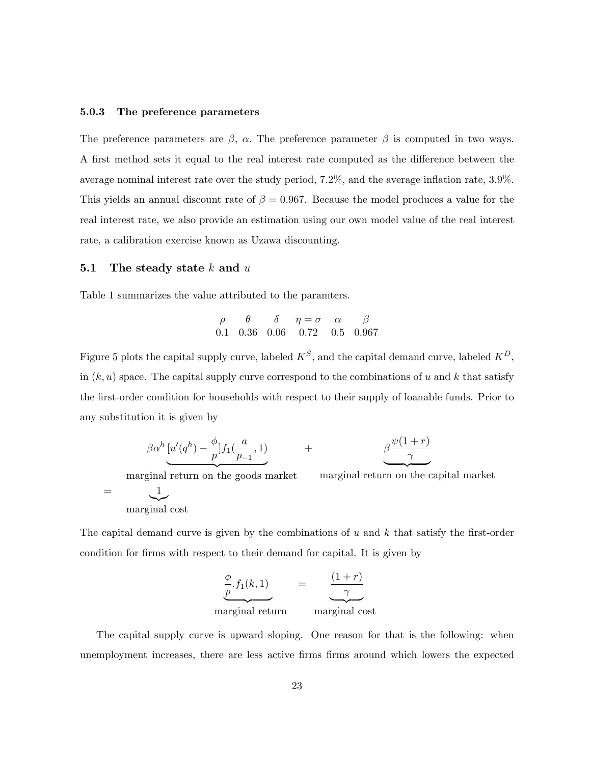#### 5.0.3 The preference parameters

The preference parameters are  $\beta$ ,  $\alpha$ . The preference parameter  $\beta$  is computed in two ways. A first method sets it equal to the real interest rate computed as the difference between the average nominal interest rate over the study period,  $7.2\%$ , and the average inflation rate,  $3.9\%$ . This yields an annual discount rate of  $\beta = 0.967$ . Because the model produces a value for the real interest rate, we also provide an estimation using our own model value of the real interest rate, a calibration exercise known as Uzawa discounting.

### 5.1 The steady state  $k$  and  $u$

Table 1 summarizes the value attributed to the paramters.

$$
\begin{array}{cccccc}\n\rho & \theta & \delta & \eta = \sigma & \alpha & \beta \\
0.1 & 0.36 & 0.06 & 0.72 & 0.5 & 0.967\n\end{array}
$$

Figure 5 plots the capital supply curve, labeled  $K^S$ , and the capital demand curve, labeled  $K^D$ , in  $(k, u)$  space. The capital supply curve correspond to the combinations of u and k that satisfy the first-order condition for households with respect to their supply of loanable funds. Prior to any substitution it is given by

$$
\beta \alpha^{h} \underbrace{[u'(q^{h}) - \frac{\phi}{p}]} f_1(\frac{a}{p-1}, 1) + \beta \underbrace{\beta \frac{\psi(1+r)}{\gamma}}.
$$

marginal return on the goods market

marginal return on the capital market

 $=$   $\frac{1}{2}$  $\sum$ marginal cost

The capital demand curve is given by the combinations of  $u$  and  $k$  that satisfy the first-order condition for firms with respect to their demand for capital. It is given by

$$
\underbrace{\frac{\phi}{p}.f_1(k,1)}_{\text{marginal return}} = \underbrace{\frac{(1+r)}{\gamma}}_{\text{marginal cost}}
$$

The capital supply curve is upward sloping. One reason for that is the following: when unemployment increases, there are less active firms firms around which lowers the expected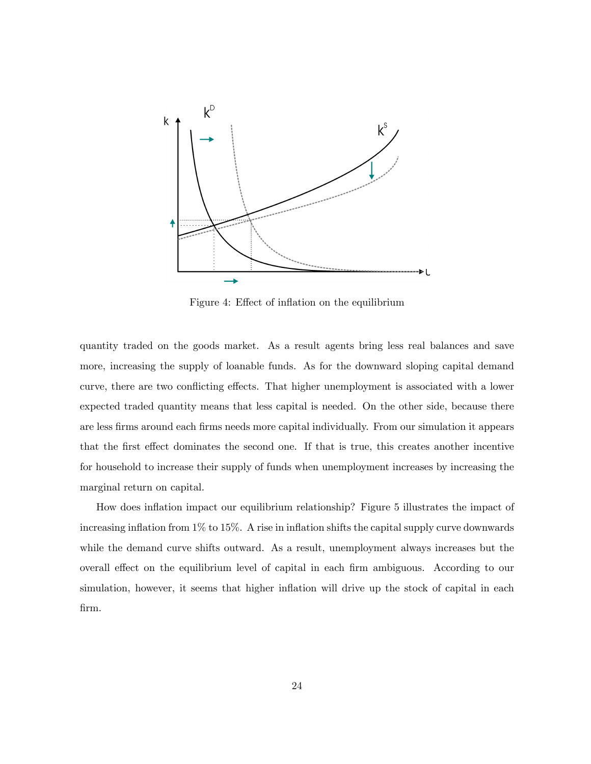

Figure 4: Effect of inflation on the equilibrium

quantity traded on the goods market. As a result agents bring less real balances and save more, increasing the supply of loanable funds. As for the downward sloping capital demand curve, there are two conflicting effects. That higher unemployment is associated with a lower expected traded quantity means that less capital is needed. On the other side, because there are less Örms around each Örms needs more capital individually. From our simulation it appears that the first effect dominates the second one. If that is true, this creates another incentive for household to increase their supply of funds when unemployment increases by increasing the marginal return on capital.

How does ináation impact our equilibrium relationship? Figure 5 illustrates the impact of increasing inflation from  $1\%$  to  $15\%$ . A rise in inflation shifts the capital supply curve downwards while the demand curve shifts outward. As a result, unemployment always increases but the overall effect on the equilibrium level of capital in each firm ambiguous. According to our simulation, however, it seems that higher inflation will drive up the stock of capital in each Örm.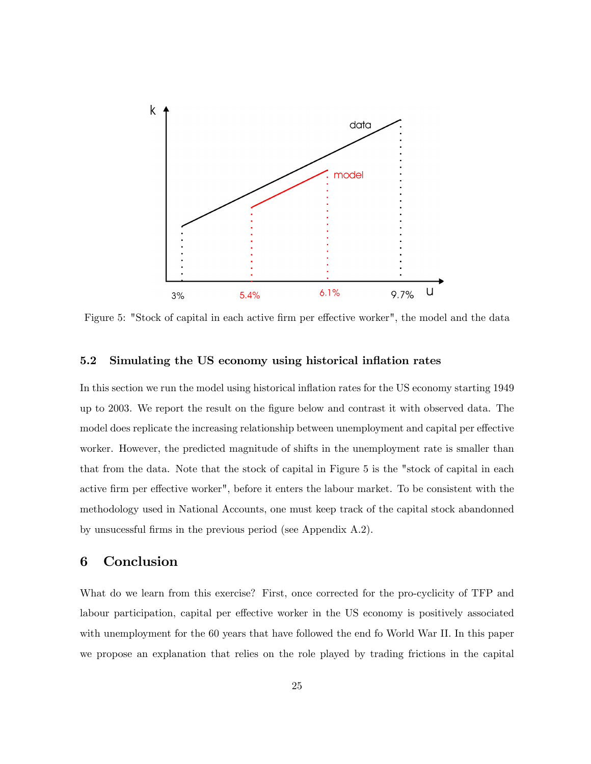

Figure 5: "Stock of capital in each active firm per effective worker", the model and the data

### 5.2 Simulating the US economy using historical inflation rates

In this section we run the model using historical inflation rates for the US economy starting 1949 up to 2003. We report the result on the Ögure below and contrast it with observed data. The model does replicate the increasing relationship between unemployment and capital per effective worker. However, the predicted magnitude of shifts in the unemployment rate is smaller than that from the data. Note that the stock of capital in Figure 5 is the "stock of capital in each active firm per effective worker", before it enters the labour market. To be consistent with the methodology used in National Accounts, one must keep track of the capital stock abandonned by unsucessful firms in the previous period (see Appendix A.2).

## 6 Conclusion

What do we learn from this exercise? First, once corrected for the pro-cyclicity of TFP and labour participation, capital per effective worker in the US economy is positively associated with unemployment for the 60 years that have followed the end fo World War II. In this paper we propose an explanation that relies on the role played by trading frictions in the capital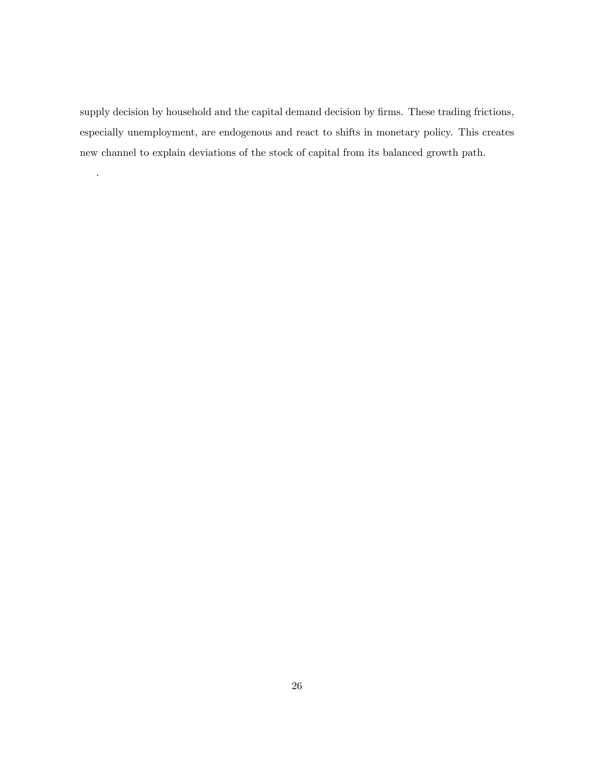supply decision by household and the capital demand decision by firms. These trading frictions, especially unemployment, are endogenous and react to shifts in monetary policy. This creates new channel to explain deviations of the stock of capital from its balanced growth path.

.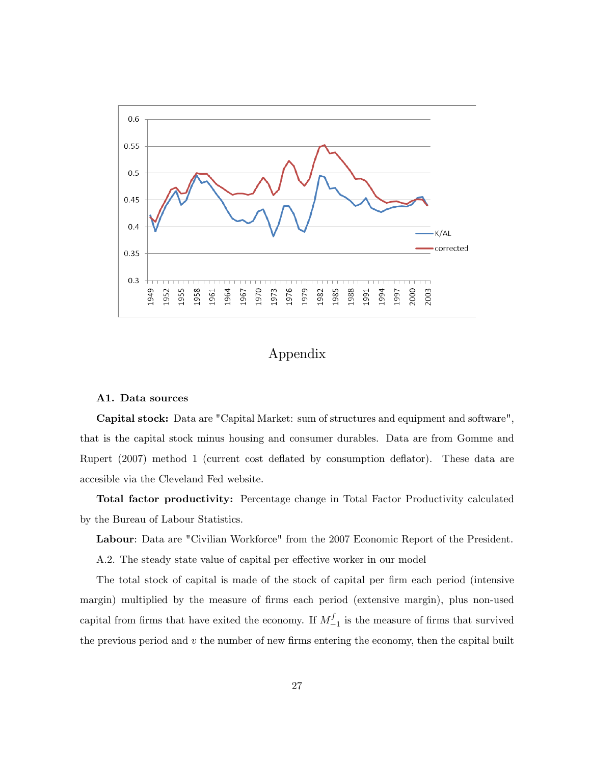

# Appendix

#### A1. Data sources

Capital stock: Data are "Capital Market: sum of structures and equipment and software", that is the capital stock minus housing and consumer durables. Data are from Gomme and Rupert (2007) method 1 (current cost deáated by consumption deáator). These data are accesible via the Cleveland Fed website.

Total factor productivity: Percentage change in Total Factor Productivity calculated by the Bureau of Labour Statistics.

Labour: Data are "Civilian Workforce" from the 2007 Economic Report of the President.

A.2. The steady state value of capital per effective worker in our model

The total stock of capital is made of the stock of capital per firm each period (intensive margin) multiplied by the measure of firms each period (extensive margin), plus non-used capital from firms that have exited the economy. If  $M_{-}^{f}$  $\frac{J}{-1}$  is the measure of firms that survived the previous period and  $v$  the number of new firms entering the economy, then the capital built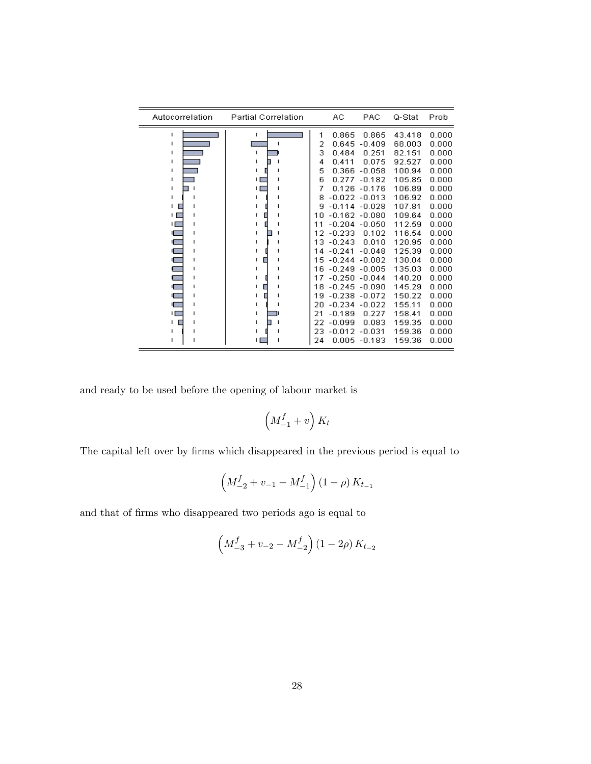| Autocorrelation                                       | <b>Partial Correlation</b> |                                                                      | AС                                                                                                                                                | PAC                                                                                                                          | Q-Stat                                                                                                               | Prob                                                                                                     |
|-------------------------------------------------------|----------------------------|----------------------------------------------------------------------|---------------------------------------------------------------------------------------------------------------------------------------------------|------------------------------------------------------------------------------------------------------------------------------|----------------------------------------------------------------------------------------------------------------------|----------------------------------------------------------------------------------------------------------|
| п<br>п<br>п<br>т<br>п<br>т<br>п<br>п<br>п<br>ΙI<br>нΓ | т<br>ı<br>п<br>п           | 1<br>2<br>3<br>4<br>5<br>6<br>7<br>8<br>g<br>10<br>11<br>12          | 0.865<br>0.645<br>0.484<br>0.411<br>0.366<br>0.277<br>0.126<br>$-0.114$<br>$-0.162 - 0.080$<br>$-0.204$<br>$-0.233$                               | 0.865<br>$-0.409$<br>0.251<br>0.075<br>$-0.058$<br>$-0.182$<br>$-0.176$<br>$-0.022 - 0.013$<br>$-0.028$<br>$-0.050$<br>0.102 | 43.418<br>68.003<br>82.151<br>92.527<br>100.94<br>105.85<br>106.89<br>106.92<br>107.81<br>109.64<br>112.59<br>116.54 | 0.000<br>0.000<br>0.000<br>0.000<br>0.000<br>0.000<br>0.000<br>0.000<br>0.000<br>0.000<br>0.000<br>0.000 |
| ıГ<br>г<br>1<br>г<br>۱Г<br>1<br>ΙЛ<br>п<br>п<br>п     | п<br>ı<br>п<br>п           | 13<br>14<br>15<br>16<br>17<br>18<br>19<br>20<br>21<br>22<br>23<br>24 | $-0.243$<br>$-0.241$<br>$-0.244$<br>$-0.249$<br>$-0.250 - 0.044$<br>$-0.245$<br>$-0.238$<br>$-0.234$<br>$-0.189$<br>$-0.099$<br>$-0.012$<br>0.005 | 0.010<br>$-0.048$<br>$-0.082$<br>$-0.005$<br>$-0.090$<br>$-0.072$<br>$-0.022$<br>0.227<br>0.083<br>$-0.031$<br>$-0.183$      | 120.95<br>125.39<br>130.04<br>135.03<br>140.20<br>145.29<br>150.22<br>155.11<br>158.41<br>159.35<br>159.36<br>159.36 | 0.000<br>0.000<br>0.000<br>0.000<br>0.000<br>0.000<br>0.000<br>0.000<br>0.000<br>0.000<br>0.000<br>0.000 |

and ready to be used before the opening of labour market is

$$
\left(M_{-1}^{f}+v\right)K_{t}
$$

The capital left over by firms which disappeared in the previous period is equal to

$$
\left(M_{-2}^f+v_{-1}-M_{-1}^f\right)\left(1-\rho\right)K_{t_{-1}}
$$

and that of firms who disappeared two periods ago is equal to

$$
\left(M_{-3}^f + v_{-2} - M_{-2}^f\right) \left(1 - 2\rho\right) K_{t_{-2}}
$$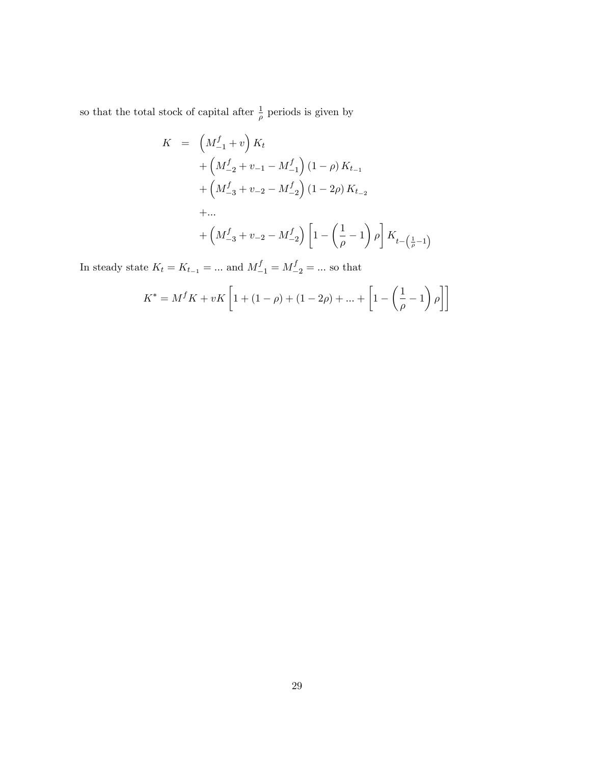so that the total stock of capital after  $\frac{1}{\rho}$  periods is given by

$$
K = \left(M_{-1}^{f} + v\right) K_{t}
$$
  
+  $\left(M_{-2}^{f} + v_{-1} - M_{-1}^{f}\right) (1 - \rho) K_{t_{-1}}$   
+  $\left(M_{-3}^{f} + v_{-2} - M_{-2}^{f}\right) (1 - 2\rho) K_{t_{-2}}$   
+ ...  
+  $\left(M_{-3}^{f} + v_{-2} - M_{-2}^{f}\right) \left[1 - \left(\frac{1}{\rho} - 1\right) \rho\right] K_{t_{-1}}\left(\frac{1}{\rho} - 1\right)$ 

In steady state  $K_t = K_{t-1} = ...$  and  $M_{-1}^f = M_{-2}^f = ...$  so that

$$
K^* = M^f K + vK \left[ 1 + (1 - \rho) + (1 - 2\rho) + \dots + \left[ 1 - \left( \frac{1}{\rho} - 1 \right) \rho \right] \right]
$$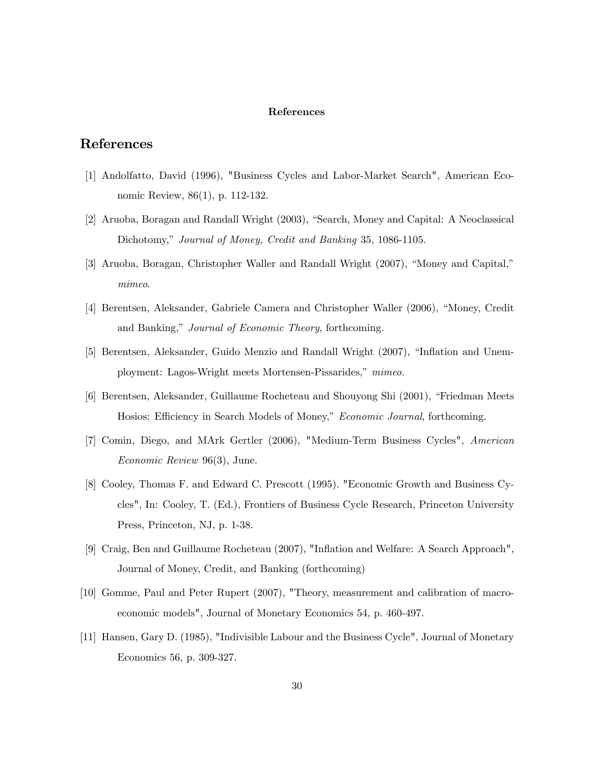#### References

## References

- [1] Andolfatto, David (1996), "Business Cycles and Labor-Market Search", American Economic Review, 86(1), p. 112-132.
- [2] Aruoba, Boragan and Randall Wright (2003), "Search, Money and Capital: A Neoclassical Dichotomy," Journal of Money, Credit and Banking 35, 1086-1105.
- [3] Aruoba, Boragan, Christopher Waller and Randall Wright (2007), "Money and Capital," mimeo.
- [4] Berentsen, Aleksander, Gabriele Camera and Christopher Waller (2006), "Money, Credit and Banking," Journal of Economic Theory, forthcoming.
- [5] Berentsen, Aleksander, Guido Menzio and Randall Wright (2007), "Inflation and Unemployment: Lagos-Wright meets Mortensen-Pissarides,<sup>nmimeo.</sup>
- [6] Berentsen, Aleksander, Guillaume Rocheteau and Shouyong Shi (2001), "Friedman Meets Hosios: Efficiency in Search Models of Money," Economic Journal, forthcoming.
- [7] Comin, Diego, and MArk Gertler (2006), "Medium-Term Business Cycles", American Economic Review 96(3), June.
- [8] Cooley, Thomas F. and Edward C. Prescott (1995). "Economic Growth and Business Cycles", In: Cooley, T. (Ed.), Frontiers of Business Cycle Research, Princeton University Press, Princeton, NJ, p. 1-38.
- [9] Craig, Ben and Guillaume Rocheteau (2007), "Inflation and Welfare: A Search Approach", Journal of Money, Credit, and Banking (forthcoming)
- [10] Gomme, Paul and Peter Rupert (2007), "Theory, measurement and calibration of macroeconomic models", Journal of Monetary Economics 54, p. 460-497.
- [11] Hansen, Gary D. (1985), "Indivisible Labour and the Business Cycle", Journal of Monetary Economics 56, p. 309-327.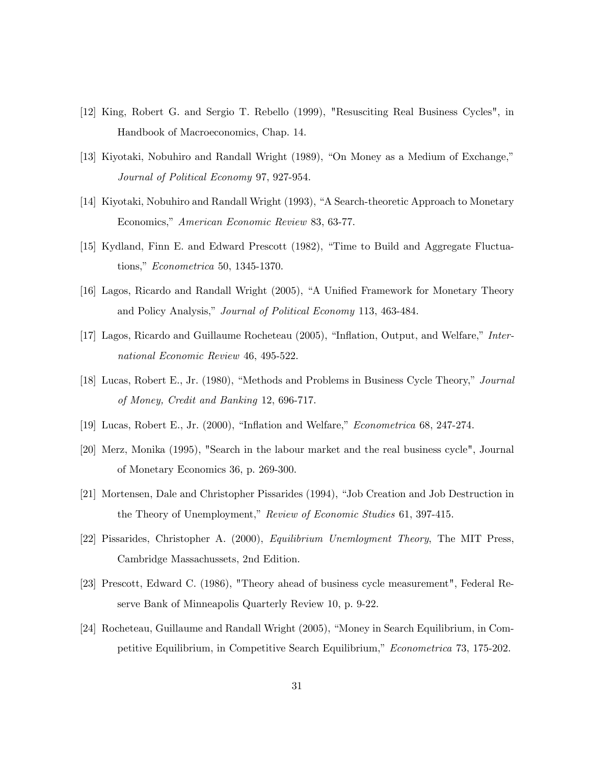- [12] King, Robert G. and Sergio T. Rebello (1999), "Resusciting Real Business Cycles", in Handbook of Macroeconomics, Chap. 14.
- [13] Kiyotaki, Nobuhiro and Randall Wright  $(1989)$ , "On Money as a Medium of Exchange," Journal of Political Economy 97, 927-954.
- [14] Kiyotaki, Nobuhiro and Randall Wright (1993), "A Search-theoretic Approach to Monetary Economics," American Economic Review 83, 63-77.
- [15] Kydland, Finn E. and Edward Prescott (1982), "Time to Build and Aggregate Fluctuations," *Econometrica* 50, 1345-1370.
- [16] Lagos, Ricardo and Randall Wright (2005), "A Unified Framework for Monetary Theory and Policy Analysis," Journal of Political Economy 113, 463-484.
- [17] Lagos, Ricardo and Guillaume Rocheteau (2005), "Inflation, Output, and Welfare," International Economic Review 46, 495-522.
- [18] Lucas, Robert E., Jr. (1980), "Methods and Problems in Business Cycle Theory," Journal of Money, Credit and Banking 12, 696-717.
- [19] Lucas, Robert E., Jr. (2000), "Inflation and Welfare," *Econometrica* 68, 247-274.
- [20] Merz, Monika (1995), "Search in the labour market and the real business cycle", Journal of Monetary Economics 36, p. 269-300.
- [21] Mortensen, Dale and Christopher Pissarides (1994), "Job Creation and Job Destruction in the Theory of Unemployment," Review of Economic Studies 61, 397-415.
- [22] Pissarides, Christopher A. (2000), Equilibrium Unemloyment Theory, The MIT Press, Cambridge Massachussets, 2nd Edition.
- [23] Prescott, Edward C. (1986), "Theory ahead of business cycle measurement", Federal Reserve Bank of Minneapolis Quarterly Review 10, p. 9-22.
- [24] Rocheteau, Guillaume and Randall Wright (2005), "Money in Search Equilibrium, in Competitive Equilibrium, in Competitive Search Equilibrium," Econometrica 73, 175-202.